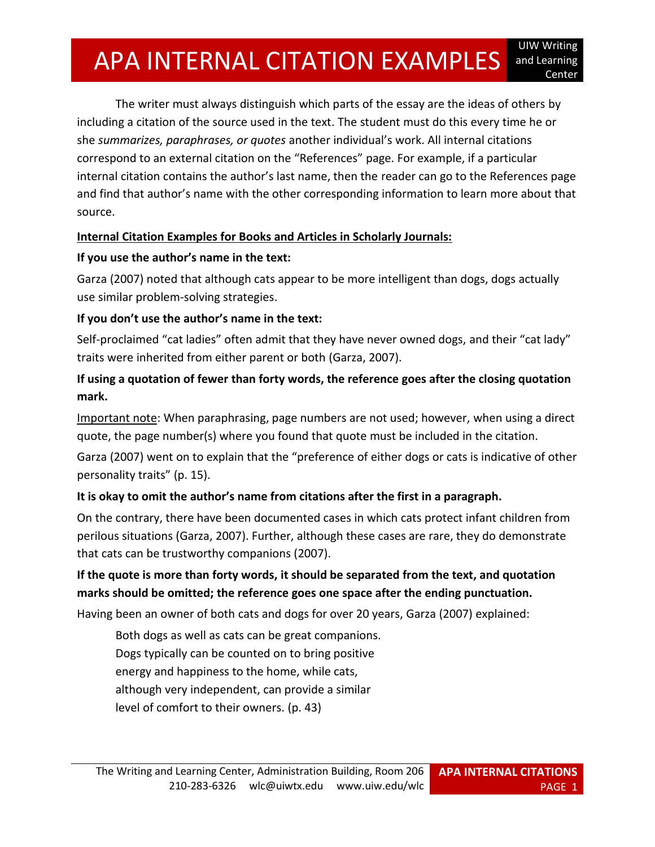# APA INTERNAL CITATION EXAMPLES Center

The writer must always distinguish which parts of the essay are the ideas of others by including a citation of the source used in the text. The student must do this every time he or she *summarizes, paraphrases, or quotes* another individual's work. All internal citations correspond to an external citation on the "References" page. For example, if a particular internal citation contains the author's last name, then the reader can go to the References page and find that author's name with the other corresponding information to learn more about that source.

#### **Internal Citation Examples for Books and Articles in Scholarly Journals:**

#### **If you use the author's name in the text:**

Garza (2007) noted that although cats appear to be more intelligent than dogs, dogs actually use similar problem-solving strategies.

## **If you don't use the author's name in the text:**

Self-proclaimed "cat ladies" often admit that they have never owned dogs, and their "cat lady" traits were inherited from either parent or both (Garza, 2007).

## **If using a quotation of fewer than forty words, the reference goes after the closing quotation mark.**

Important note: When paraphrasing, page numbers are not used; however, when using a direct quote, the page number(s) where you found that quote must be included in the citation.

Garza (2007) went on to explain that the "preference of either dogs or cats is indicative of other personality traits" (p. 15).

## **It is okay to omit the author's name from citations after the first in a paragraph.**

On the contrary, there have been documented cases in which cats protect infant children from perilous situations (Garza, 2007). Further, although these cases are rare, they do demonstrate that cats can be trustworthy companions (2007).

## **If the quote is more than forty words, it should be separated from the text, and quotation marks should be omitted; the reference goes one space after the ending punctuation.**

Having been an owner of both cats and dogs for over 20 years, Garza (2007) explained:

Both dogs as well as cats can be great companions. Dogs typically can be counted on to bring positive energy and happiness to the home, while cats, although very independent, can provide a similar level of comfort to their owners. (p. 43)